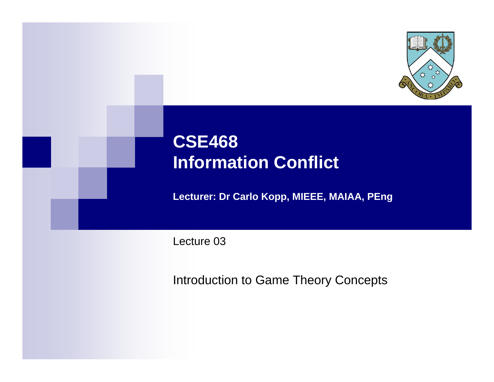

## **CSE468 Information Conflict**

**Lecturer: Dr Carlo Kopp, MIEEE, MAIAA, PEng**

Lecture 03

Introduction to Game Theory Concepts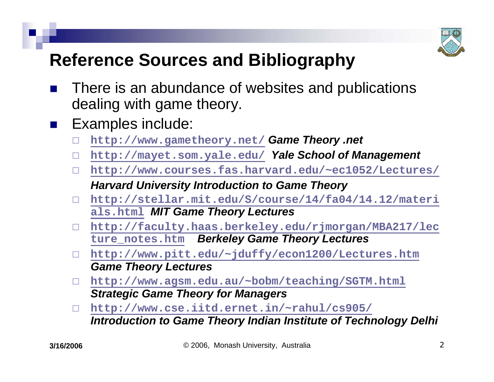

## **Reference Sources and Bibliography**

- $\mathbb{R}^3$  There is an abundance of websites and publications dealing with game theory.
- $\mathbb{R}^2$  Examples include:
	- П **<http://www.gametheory.net/>** *Game Theory .net*
	- П. **<http://mayet.som.yale.edu/>** *Yale School of Management*
	- $\Box$  **<http://www.courses.fas.harvard.edu/~ec1052/Lectures/>** *Harvard University Introduction to Game Theory*
	- $\Box$  **[http://stellar.mit.edu/S/course/14/fa04/14.12/materi](http://stellar.mit.edu/S/course/14/fa04/14.12/materials.html) [als.html](http://stellar.mit.edu/S/course/14/fa04/14.12/materials.html)** *[MIT Game Theory Lectures](http://stellar.mit.edu/S/course/14/fa04/14.12/materials.html)*
	- **http://faculty.haas.berkeley.edu/rjmorgan/MBA217/lec [ture\\_notes.htm](http://faculty.haas.berkeley.edu/rjmorgan/MBA217/lecture_notes.htm)** *[Berkeley Game Theory Lectures](http://faculty.haas.berkeley.edu/rjmorgan/MBA217/lecture_notes.htm)*
	- $\Box$  **http://www.pitt.edu/~jduffy/econ1200/Lectures.htm** *Game Theory Lectures*
	- $\Box$  **<http://www.agsm.edu.au/~bobm/teaching/SGTM.html>** *Strategic Game Theory for Managers*
	- $\Box$  **<http://www.cse.iitd.ernet.in/~rahul/cs905/>** *Introduction to Game Theory Indian Institute of Technology Delhi*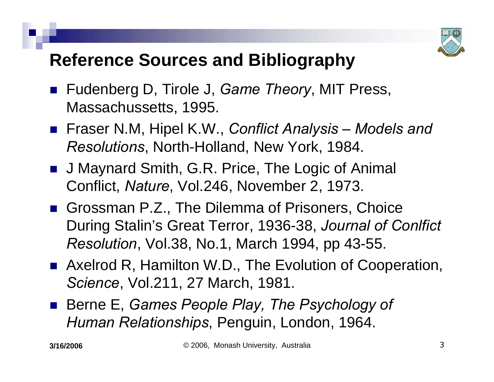

### **Reference Sources and Bibliography**

- Fudenberg D, Tirole J, *Game Theory*, MIT Press, Massachussetts, 1995.
- Fraser N.M, Hipel K.W., *Conflict Analysis Models and Resolutions*, North-Holland, New York, 1984.
- J Maynard Smith, G.R. Price, The Logic of Animal Conflict, *Nature*, Vol.246, November 2, 1973.
- Grossman P.Z., The Dilemma of Prisoners, Choice During Stalin's Great Terror, 1936-38, *Journal of Conlfict Resolution*, Vol.38, No.1, March 1994, pp 43-55.
- Axelrod R, Hamilton W.D., The Evolution of Cooperation, *Science*, Vol.211, 27 March, 1981.
- Berne E, *Games People Play, The Psychology of Human Relationships*, Penguin, London, 1964.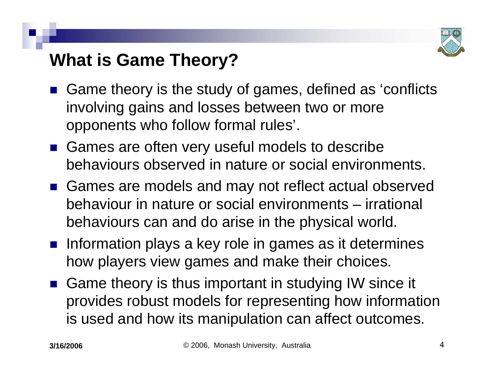

### **What is Game Theory?**

- $\mathbb{R}^3$  Game theory is the study of games, defined as 'conflicts involving gains and losses between two or more opponents who follow formal rules'.
- Games are often very useful models to describe behaviours observed in nature or social environments.
- Games are models and may not reflect actual observed behaviour in nature or social environments – irrational behaviours can and do arise in the physical world.
- **nation calcidary** in games as it determines how players view games and make their choices.
- Game theory is thus important in studying IW since it provides robust models for representing how information is used and how its manipulation can affect outcomes.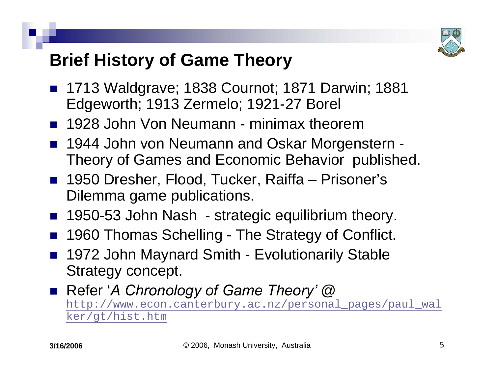

### **Brief History of Game Theory**

- 1713 Waldgrave; 1838 Cournot; 1871 Darwin; 1881 Edgeworth; 1913 Zermelo; 1921-27 Borel
- 1928 John Von Neumann minimax theorem
- $\mathbb{R}^3$  1944 John von Neumann and Oskar Morgenstern - Theory of Games and Economic Behavior published.
- 1950 Dresher, Flood, Tucker, Raiffa Prisoner's Dilemma game publications.
- 1950-53 John Nash strategic equilibrium theory.
- $\mathbb{R}^3$ 1960 Thomas Schelling - The Strategy of Conflict.
- 1972 John Maynard Smith Evolutionarily Stable Strategy concept.
- Refer '*A Chronology of Game Theory'* @ [http://www.econ.canterbury.ac.nz/personal\\_pages/paul\\_wal](http://www.econ.canterbury.ac.nz/personal_pages/paul_walker/gt/hist.htm) [ker/gt/hist.htm](http://www.econ.canterbury.ac.nz/personal_pages/paul_walker/gt/hist.htm)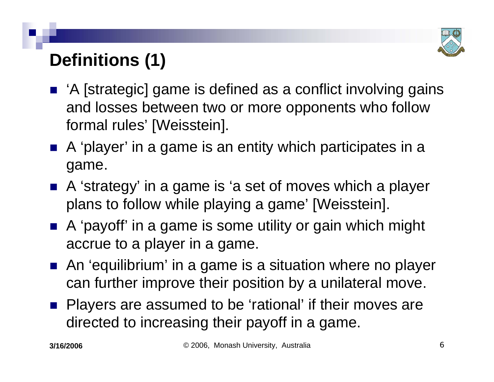

# **Definitions (1)**

- 'A [strategic] game is defined as a conflict involving gains and losses between two or more opponents who follow formal rules' [Weisstein].
- A 'player' in a game is an entity which participates in a game.
- A 'strategy' in a game is 'a set of moves which a player plans to follow while playing a game' [Weisstein].
- A 'payoff' in a game is some utility or gain which might accrue to a player in a game.
- An 'equilibrium' in a game is a situation where no player can further improve their position by a unilateral move.
- **Players are assumed to be 'rational' if their moves are** directed to increasing their payoff in a game.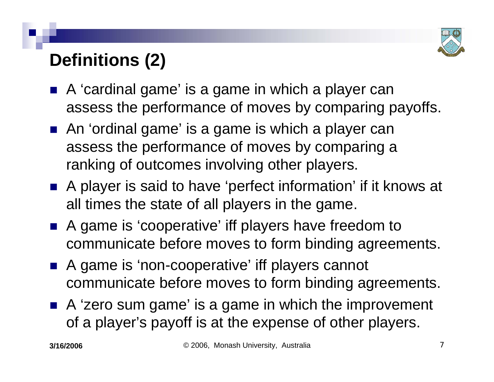

# **Definitions (2)**

- A 'cardinal game' is a game in which a player can assess the performance of moves by comparing payoffs.
- An 'ordinal game' is a game is which a player can assess the performance of moves by comparing a ranking of outcomes involving other players.
- A player is said to have 'perfect information' if it knows at all times the state of all players in the game.
- A game is 'cooperative' iff players have freedom to communicate before moves to form binding agreements.
- A game is 'non-cooperative' iff players cannot communicate before moves to form binding agreements.
- A 'zero sum game' is a game in which the improvement of a player's payoff is at the expense of other players.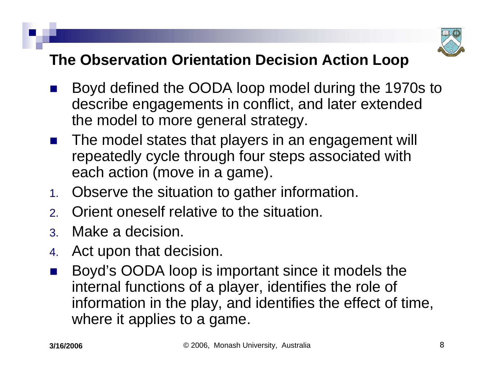

#### **The Observation Orientation Decision Action Loop**

- $\mathbb{R}^3$  Boyd defined the OODA loop model during the 1970s to describe engagements in conflict, and later extended the model to more general strategy.
- $\mathbb{R}^3$  The model states that players in an engagement will repeatedly cycle through four steps associated with each action (move in a game).
- 1. Observe the situation to gather information.
- 2.Orient oneself relative to the situation.
- 3. Make a decision.
- 4.Act upon that decision.
- $\mathbb{R}^3$  Boyd's OODA loop is important since it models the internal functions of a player, identifies the role of information in the play, and identifies the effect of time, where it applies to a game.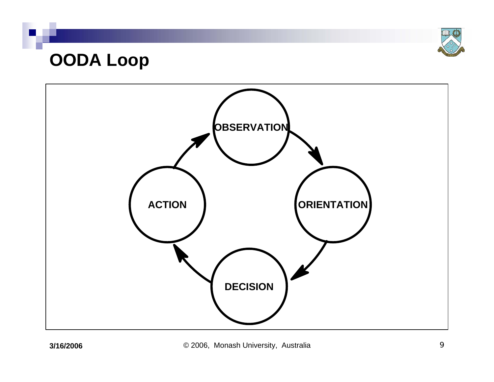

### **OODA Loop**

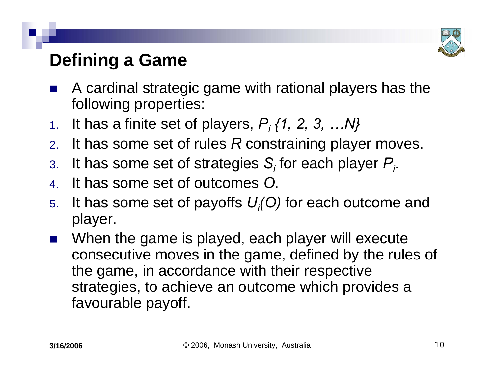

## **Defining a Game**

- $\mathbb{R}^3$  A cardinal strategic game with rational players has the following properties:
- 1. It has a finite set of players, *Pi {1, 2, 3, …N}*
- 2.. It has some set of rules *R* constraining player moves.
- 3. It has some set of strategies *Si* for each player *Pi*.
- 4. It has some set of outcomes *O*.
- 5. It has some set of payoffs *Ui(O)* for each outcome and player.
- $\mathbb{R}^3$  When the game is played, each player will execute consecutive moves in the game, defined by the rules of the game, in accordance with their respective strategies, to achieve an outcome which provides a favourable payoff.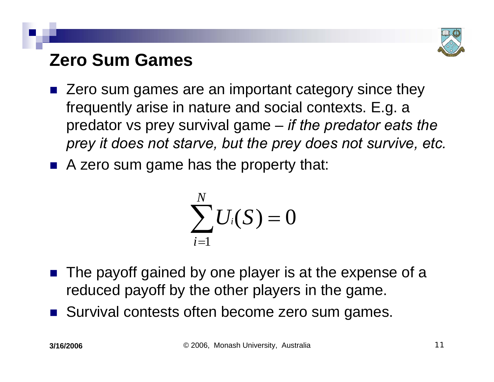

## **Zero Sum Games**

- $\mathbb{R}^3$  Zero sum games are an important category since they frequently arise in nature and social contexts. E.g. a predator vs prey survival game – *if the predator eats the prey it does not starve, but the prey does not survive, etc.*
- A zero sum game has the property that:

$$
\sum_{i=1}^N U_i(S) = 0
$$

- The payoff gained by one player is at the expense of a reduced payoff by the other players in the game.
- Survival contests often become zero sum games.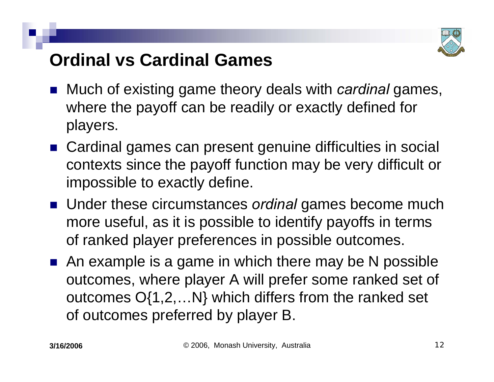

## **Ordinal vs Cardinal Games**

- Much of existing game theory deals with *cardinal* games, where the payoff can be readily or exactly defined for players.
- Cardinal games can present genuine difficulties in social contexts since the payoff function may be very difficult or impossible to exactly define.
- Under these circumstances *ordinal* games become much more useful, as it is possible to identify payoffs in terms of ranked player preferences in possible outcomes.
- An example is a game in which there may be N possible outcomes, where player A will prefer some ranked set of outcomes O{1,2,…N} which differs from the ranked set of outcomes preferred by player B.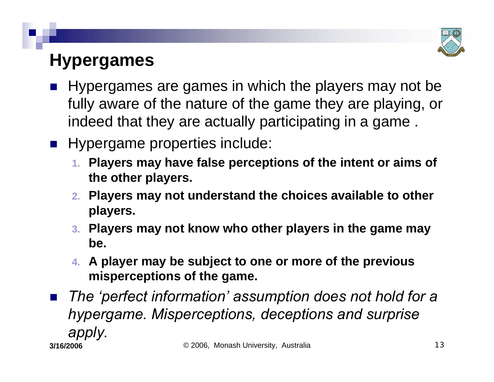

## **Hypergames**

- $\mathbb{R}^3$  Hypergames are games in which the players may not be fully aware of the nature of the game they are playing, or indeed that they are actually participating in a game .
- **Hypergame properties include:** 
	- **1. Players may have false perceptions of the intent or aims of the other players.**
	- **2. Players may not understand the choices available to other players.**
	- **3. Players may not know who other players in the game may be.**
	- **4. A player may be subject to one or more of the previous misperceptions of the game.**
- **3/16/2006** $\mathbb{R}^3$  *The 'perfect information' assumption does not hold for a hypergame. Misperceptions, deceptions and surprise apply.*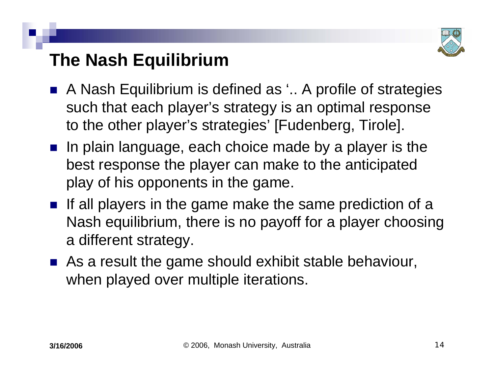

## **The Nash Equilibrium**

- $\mathbb{R}^3$  A Nash Equilibrium is defined as '.. A profile of strategies such that each player's strategy is an optimal response to the other player's strategies' [Fudenberg, Tirole].
- $\blacksquare$  In plain language, each choice made by a player is the best response the player can make to the anticipated play of his opponents in the game.
- If all players in the game make the same prediction of a Nash equilibrium, there is no payoff for a player choosing a different strategy.
- As a result the game should exhibit stable behaviour, when played over multiple iterations.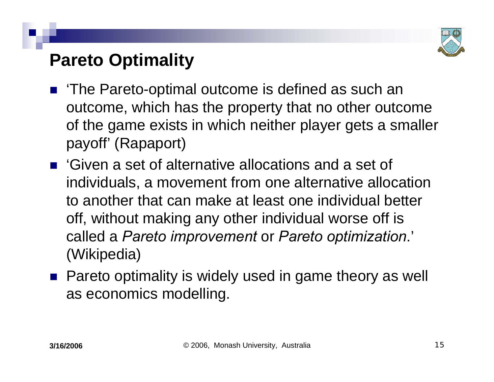

### **Pareto Optimality**

- $\mathbb{R}^3$  'The Pareto-optimal outcome is defined as such an outcome, which has the property that no other outcome of the game exists in which neither player gets a smaller payoff' (Rapaport)
- 'Given a set of alternative allocations and a set of individuals, a movement from one alternative allocation to another that can make at least one individual better off, without making any other individual worse off is called a *Pareto improvement* or *Pareto optimization*.' (Wikipedia)
- Pareto optimality is widely used in game theory as well as economics modelling.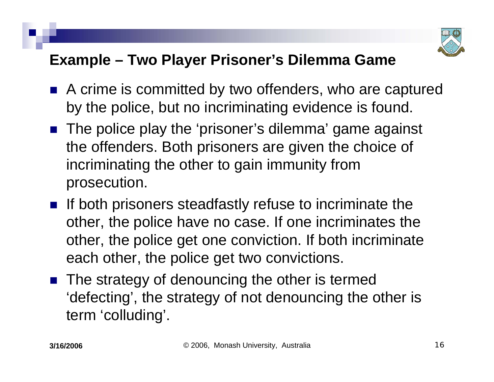

#### **Example – Two Player Prisoner's Dilemma Game**

- A crime is committed by two offenders, who are captured by the police, but no incriminating evidence is found.
- The police play the 'prisoner's dilemma' game against the offenders. Both prisoners are given the choice of incriminating the other to gain immunity from prosecution.
- **If both prisoners steadfastly refuse to incriminate the** other, the police have no case. If one incriminates the other, the police get one conviction. If both incriminate each other, the police get two convictions.
- The strategy of denouncing the other is termed 'defecting', the strategy of not denouncing the other is term 'colluding'.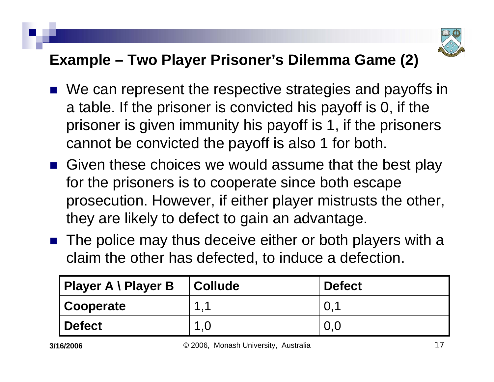

#### **Example – Two Player Prisoner's Dilemma Game (2)**

- We can represent the respective strategies and payoffs in a table. If the prisoner is convicted his payoff is 0, if the prisoner is given immunity his payoff is 1, if the prisoners cannot be convicted the payoff is also 1 for both.
- Given these choices we would assume that the best play for the prisoners is to cooperate since both escape prosecution. However, if either player mistrusts the other, they are likely to defect to gain an advantage.
- The police may thus deceive either or both players with a claim the other has defected, to induce a defection.

| Player A \ Player B | <b>Collude</b>       | <b>Defect</b>   |
|---------------------|----------------------|-----------------|
| Cooperate           | $\blacktriangleleft$ | . O. $\acute{}$ |
| Defect              |                      | 0.0             |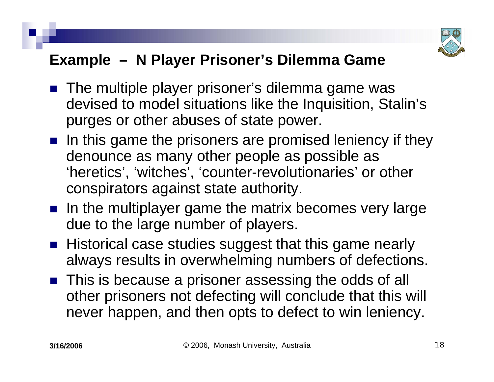

#### **Example – N Player Prisoner's Dilemma Game**

- The multiple player prisoner's dilemma game was devised to model situations like the Inquisition, Stalin's purges or other abuses of state power.
- $\blacksquare$  In this game the prisoners are promised leniency if they denounce as many other people as possible as 'heretics', 'witches', 'counter-revolutionaries' or other conspirators against state authority.
- $\blacksquare$  In the multiplayer game the matrix becomes very large due to the large number of players.
- Historical case studies suggest that this game nearly always results in overwhelming numbers of defections.
- This is because a prisoner assessing the odds of all other prisoners not defecting will conclude that this will never happen, and then opts to defect to win leniency.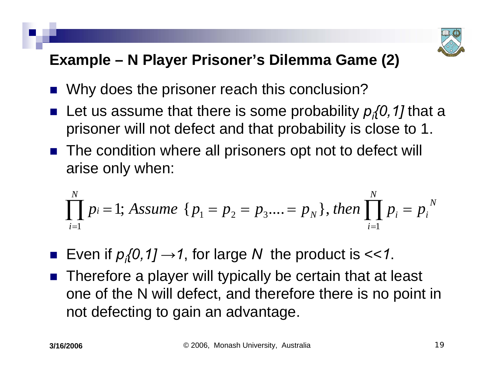

#### **Example – N Player Prisoner's Dilemma Game (2)**

- $\mathbb{R}^3$ Why does the prisoner reach this conclusion?
- Let us assume that there is some probability  $p_i$ {0,1] that a prisoner will not defect and that probability is close to 1.
- The condition where all prisoners opt not to defect will arise only when:

$$
\prod_{i=1}^{N} p_i = 1; Assume \{ p_1 = p_2 = p_3....=p_N \}, then \prod_{i=1}^{N} p_i = p_i^N
$$

 $\mathbb{R}^3$ Even if  $p_i$  (0, 1]  $\rightarrow$  1, for large N the product is << 1.

 $\mathbb{R}^3$  Therefore a player will typically be certain that at least one of the N will defect, and therefore there is no point in not defecting to gain an advantage.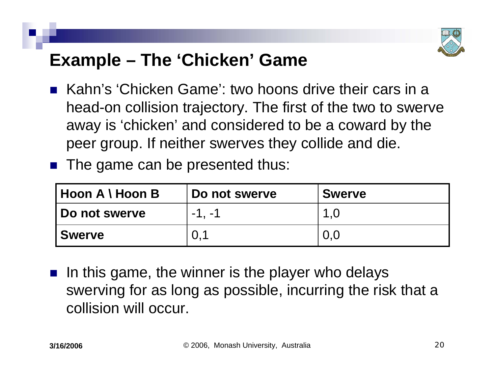

### **Example – The 'Chicken' Game**

- Kahn's 'Chicken Game': two hoons drive their cars in a head-on collision trajectory. The first of the two to swerve away is 'chicken' and considered to be a coward by the peer group. If neither swerves they collide and die.
- **The game can be presented thus:**

| Hoon A \ Hoon B        | Do not swerve | <b>Swerve</b> |
|------------------------|---------------|---------------|
| <b>I Do not swerve</b> | $-1. -1$      | 1.0           |
| <b>Swerve</b>          | 0.1           | 0.0           |

 $\mathbb{R}^2$  In this game, the winner is the player who delays swerving for as long as possible, incurring the risk that a collision will occur.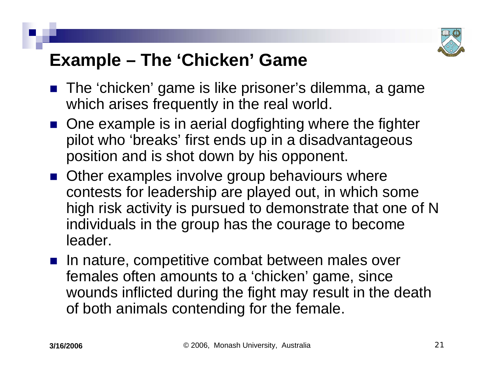

### **Example – The 'Chicken' Game**

- The 'chicken' game is like prisoner's dilemma, a game which arises frequently in the real world.
- One example is in aerial dogfighting where the fighter pilot who 'breaks' first ends up in a disadvantageous position and is shot down by his opponent.
- Other examples involve group behaviours where contests for leadership are played out, in which some high risk activity is pursued to demonstrate that one of N individuals in the group has the courage to become leader.
- In nature, competitive combat between males over females often amounts to a 'chicken' game, since wounds inflicted during the fight may result in the death of both animals contending for the female.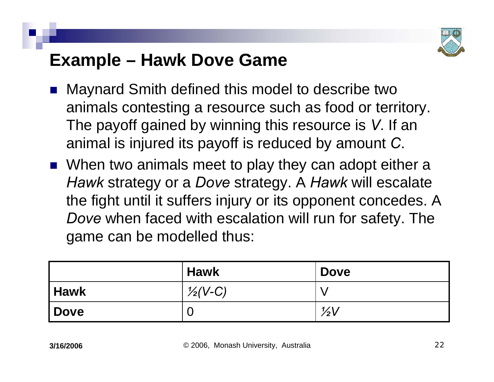

### **Example – Hawk Dove Game**

- $\mathbb{R}^3$  Maynard Smith defined this model to describe two animals contesting a resource such as food or territory. The payoff gained by winning this resource is *V*. If an animal is injured its payoff is reduced by amount *C*.
- When two animals meet to play they can adopt either a *Hawk* strategy or a *Dove* strategy. A *Hawk* will escalate the fight until it suffers injury or its opponent concedes. A *Dove* when faced with escalation will run for safety. The game can be modelled thus:

|             | <b>Hawk</b>        | <b>Dove</b>    |
|-------------|--------------------|----------------|
| Hawk        | $\frac{1}{2}(V-C)$ |                |
| <b>Dove</b> | U                  | $\frac{1}{2}V$ |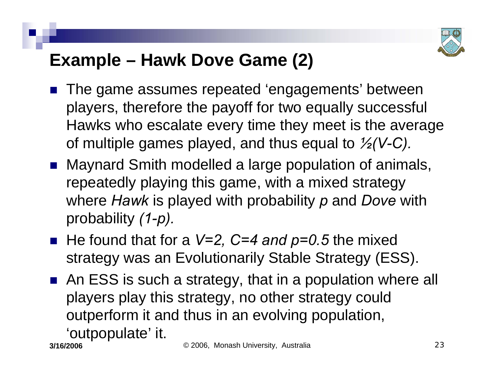

## **Example – Hawk Dove Game (2)**

- $\mathbb{R}^3$  The game assumes repeated 'engagements' between players, therefore the payoff for two equally successful Hawks who escalate every time they meet is the average of multiple games played, and thus equal to *½(V-C).*
- Maynard Smith modelled a large population of animals, repeatedly playing this game, with a mixed strategy where *Hawk* is played with probability *p* and *Dove* with probability *(1-p).*
- He found that for a *V=2, C=4 and p=0.5* the mixed strategy was an Evolutionarily Stable Strategy (ESS).
- An ESS is such a strategy, that in a population where all players play this strategy, no other strategy could outperform it and thus in an evolving population, 'outpopulate' it.

**3/16/2006**

© 2006, Monash University, Australia 23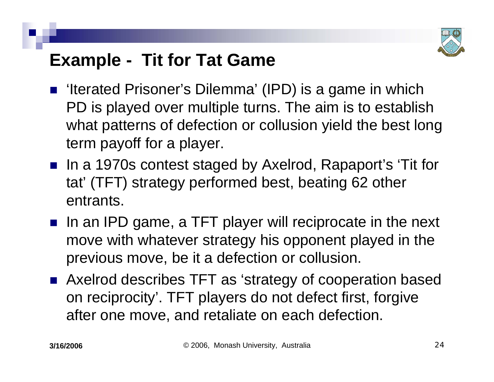

## **Example - Tit for Tat Game**

- 'Iterated Prisoner's Dilemma' (IPD) is a game in which PD is played over multiple turns. The aim is to establish what patterns of defection or collusion yield the best long term payoff for a player.
- In a 1970s contest staged by Axelrod, Rapaport's 'Tit for tat' (TFT) strategy performed best, beating 62 other entrants.
- In an IPD game, a TFT player will reciprocate in the next move with whatever strategy his opponent played in the previous move, be it a defection or collusion.
- Axelrod describes TFT as 'strategy of cooperation based on reciprocity'. TFT players do not defect first, forgive after one move, and retaliate on each defection.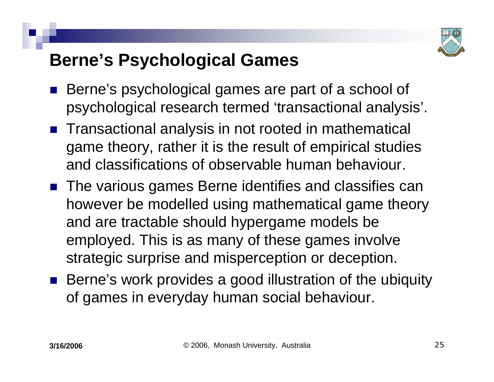

### **Berne's Psychological Games**

- $\mathbb{R}^3$  Berne's psychological games are part of a school of psychological research termed 'transactional analysis'.
- Transactional analysis in not rooted in mathematical game theory, rather it is the result of empirical studies and classifications of observable human behaviour.
- The various games Berne identifies and classifies can however be modelled using mathematical game theory and are tractable should hypergame models be employed. This is as many of these games involve strategic surprise and misperception or deception.
- Berne's work provides a good illustration of the ubiquity of games in everyday human social behaviour.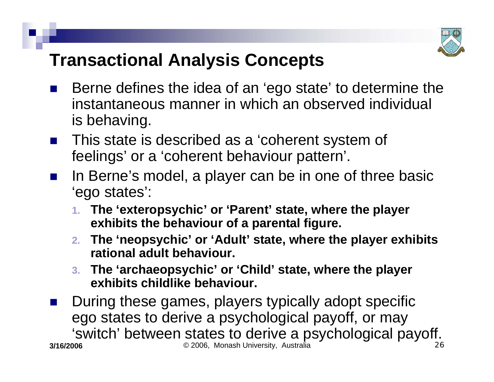

## **Transactional Analysis Concepts**

- $\mathbb{R}^3$  Berne defines the idea of an 'ego state' to determine the instantaneous manner in which an observed individual is behaving.
- $\mathbb{R}^3$  This state is described as a 'coherent system of feelings' or a 'coherent behaviour pattern'.
- $\mathbb{R}^3$  In Berne's model, a player can be in one of three basic 'ego states':
	- **1. The 'exteropsychic' or 'Parent' state, where the player exhibits the behaviour of a parental figure.**
	- **2. The 'neopsychic' or 'Adult' state, where the player exhibits rational adult behaviour.**
	- **3. The 'archaeopsychic' or 'Child' state, where the player exhibits childlike behaviour.**

**3/16/2006** © 2006, Monash University, Australia 26  $\mathbb{R}^3$  During these games, players typically adopt specific ego states to derive a psychological payoff, or may 'switch' between states to derive a psychological payoff.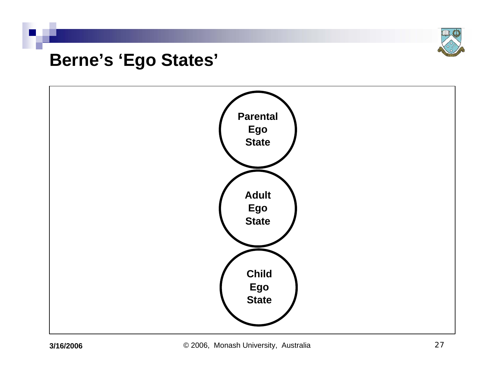

### **Berne's 'Ego States'**

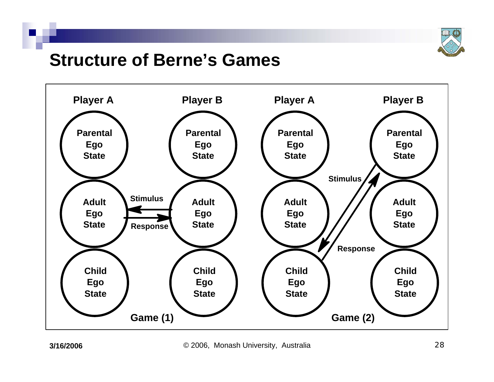

### **Structure of Berne's Games**

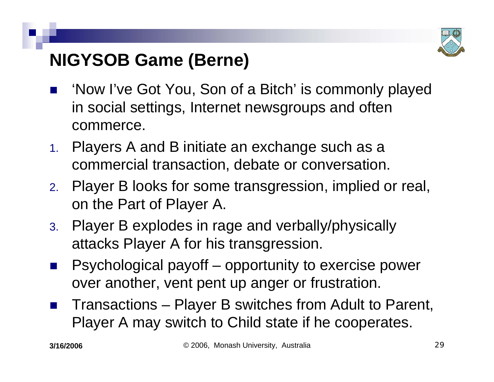

## **NIGYSOB Game (Berne)**

- $\mathbb{R}^3$  'Now I've Got You, Son of a Bitch' is commonly played in social settings, Internet newsgroups and often commerce.
- 1. Players A and B initiate an exchange such as a commercial transaction, debate or conversation.
- 2. Player B looks for some transgression, implied or real, on the Part of Player A.
- 3. Player B explodes in rage and verbally/physically attacks Player A for his transgression.
- $\mathbb{R}^3$  Psychological payoff – opportunity to exercise power over another, vent pent up anger or frustration.
- $\mathbb{R}^2$  Transactions – Player B switches from Adult to Parent, Player A may switch to Child state if he cooperates.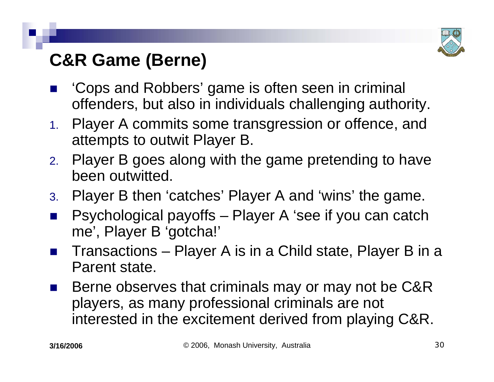

## **C&R Game (Berne)**

- $\mathbb{R}^3$  'Cops and Robbers' game is often seen in criminal offenders, but also in individuals challenging authority.
- 1. Player A commits some transgression or offence, and attempts to outwit Player B.
- 2. Player B goes along with the game pretending to have been outwitted.
- 3. Player B then 'catches' Player A and 'wins' the game.
- $\mathbb{R}^2$  Psychological payoffs – Player A 'see if you can catch me', Player B 'gotcha!'
- $\mathbb{R}^3$  Transactions – Player A is in a Child state, Player B in a Parent state.
- $\mathbb{R}^3$  Berne observes that criminals may or may not be C&R players, as many professional criminals are not interested in the excitement derived from playing C&R.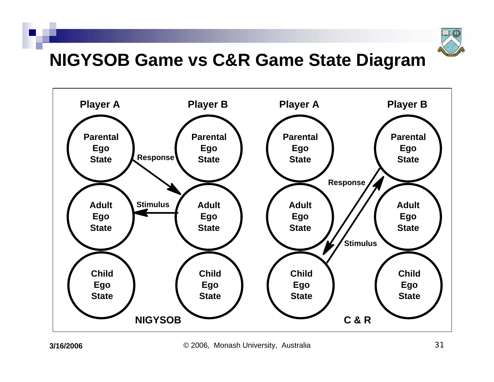

### **NIGYSOB Game vs C&R Game State Diagram**